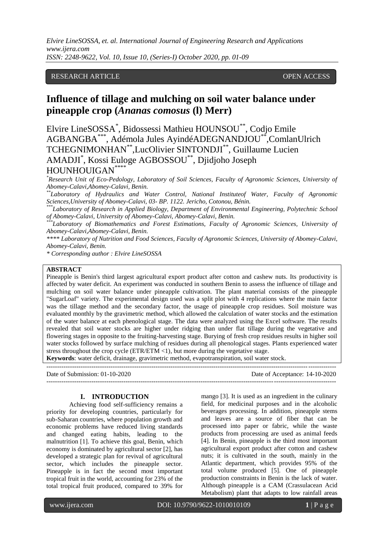*Elvire LineSOSSA, et. al. International Journal of Engineering Research and Applications www.ijera.com ISSN: 2248-9622, Vol. 10, Issue 10, (Series-I) October 2020, pp. 01-09*

# RESEARCH ARTICLE **CONSERVERS** OPEN ACCESS

# **Influence of tillage and mulching on soil water balance under pineapple crop (***Ananas comosus* **(l) Merr)**

Elvire LineSOSSA\* , Bidossessi Mathieu HOUNSOU\*\*, Codjo Emile AGBANGBA\*\*\* , Adémola Jules AyindéADEGNANDJOU\*\*,ComlanUlrich TCHEGNIMONHAN\*\*,LucOlivier SINTONDJI\*\* , Guillaume Lucien AMADJI\* , Kossi Euloge AGBOSSOU\*\* , Djidjoho Joseph HOUNHOUIGAN\*\*\*\*

*\*Research Unit of Eco-Pedology, Laboratory of Soil Sciences, Faculty of Agronomic Sciences, University of Abomey-Calavi,Abomey-Calavi, Benin.*

*\*\*Laboratory of Hydraulics and Water Control, National Instituteof Water, Faculty of Agronomic Sciences,University of Abomey-Calavi, 03- BP. 1122. Jericho, Cotonou, Bénin.*

*\*\*\*Laboratory of Research in Applied Biology, Department of Environmental Engineering, Polytechnic School of Abomey-Calavi, University of Abomey-Calavi, Abomey-Calavi, Benin.*

*\*\*\*Laboratory of Biomathematics and Forest Estimations, Faculty of Agronomic Sciences, University of Abomey-Calavi,Abomey-Calavi, Benin.*

*\*\*\*\* Laboratory of Nutrition and Food Sciences, Faculty of Agronomic Sciences, University of Abomey-Calavi, Abomey-Calavi, Benin.*

*\* Corresponding author : Elvire LineSOSSA*

## **ABSTRACT**

Pineapple is Benin's third largest agricultural export product after cotton and cashew nuts. Its productivity is affected by water deficit. An experiment was conducted in southern Benin to assess the influence of tillage and mulching on soil water balance under pineapple cultivation. The plant material consists of the pineapple "SugarLoaf" variety. The experimental design used was a split plot with 4 replications where the main factor was the tillage method and the secondary factor, the usage of pineapple crop residues. Soil moisture was evaluated monthly by the gravimetric method, which allowed the calculation of water stocks and the estimation of the water balance at each phenological stage. The data were analyzed using the Excel software. The results revealed that soil water stocks are higher under ridging than under flat tillage during the vegetative and flowering stages in opposite to the fruiting-harvesting stage. Burying of fresh crop residues results in higher soil water stocks followed by surface mulching of residues during all phenological stages. Plants experienced water stress throughout the crop cycle  $(ETR/ETM < 1)$ , but more during the vegetative stage.

**Keywords**: water deficit, drainage, gravimetric method, evapotranspiration, soil water stock.

--------------------------------------------------------------------------------------------------------------------------------------- Date of Submission: 01-10-2020 Date of Acceptance: 14-10-2020 ---------------------------------------------------------------------------------------------------------------------------------------

#### **I. INTRODUCTION**

Achieving food self-sufficiency remains a priority for developing countries, particularly for sub-Saharan countries, where population growth and economic problems have reduced living standards and changed eating habits, leading to the malnutrition [1]. To achieve this goal, Benin, which economy is dominated by agricultural sector [2], has developed a strategic plan for revival of agricultural sector, which includes the pineapple sector. Pineapple is in fact the second most important tropical fruit in the world, accounting for 23% of the total tropical fruit produced, compared to 39% for mango [3]. It is used as an ingredient in the culinary field, for medicinal purposes and in the alcoholic beverages processing. In addition, pineapple stems and leaves are a source of fiber that can be processed into paper or fabric, while the waste products from processing are used as animal feeds [4]. In Benin, pineapple is the third most important agricultural export product after cotton and cashew nuts; it is cultivated in the south, mainly in the Atlantic department, which provides 95% of the total volume produced [5]. One of pineapple production constraints in Benin is the lack of water. Although pineapple is a CAM (Crassulacean Acid Metabolism) plant that adapts to low rainfall areas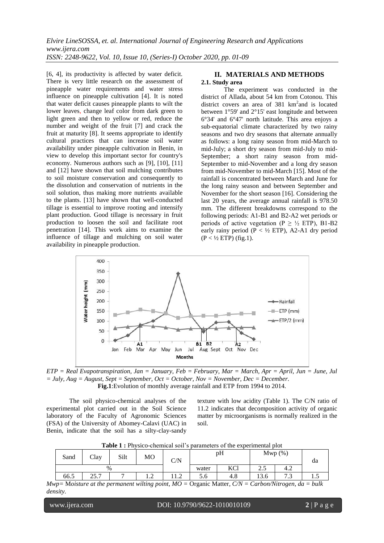[6, 4], its productivity is affected by water deficit. There is very little research on the assessment of pineapple water requirements and water stress influence on pineapple cultivation [4]. It is noted that water deficit causes pineapple plants to wilt the lower leaves, change leaf color from dark green to light green and then to yellow or red, reduce the number and weight of the fruit [7] and crack the fruit at maturity [8]. It seems appropriate to identify cultural practices that can increase soil water availability under pineapple cultivation in Benin, in view to develop this important sector for country's economy. Numerous authors such as [9], [10], [11] and [12] have shown that soil mulching contributes to soil moisture conservation and consequently to the dissolution and conservation of nutrients in the soil solution, thus making more nutrients available to the plants. [13] have shown that well-conducted tillage is essential to improve rooting and intensify plant production. Good tillage is necessary in fruit production to loosen the soil and facilitate root penetration [14]. This work aims to examine the influence of tillage and mulching on soil water availability in pineapple production.

## **II. MATERIALS AND METHODS 2.1. Study area**

The experiment was conducted in the district of Allada, about 54 km from Cotonou. This district covers an area of 381 km<sup>2</sup> and is located between 1°59' and 2°15' east longitude and between 6°34' and 6°47' north latitude. This area enjoys a sub-equatorial climate characterized by two rainy seasons and two dry seasons that alternate annually as follows: a long rainy season from mid-March to mid-July; a short dry season from mid-July to mid-September; a short rainy season from mid-September to mid-November and a long dry season from mid-November to mid-March [15]. Most of the rainfall is concentrated between March and June for the long rainy season and between September and November for the short season [16]. Considering the last 20 years, the average annual rainfall is 978.50 mm. The different breakdowns correspond to the following periods: A1-B1 and B2-A2 wet periods or periods of active vegetation (P  $\geq \frac{1}{2}$  ETP), B1-B2 early rainy period ( $P < \frac{1}{2}$  ETP), A2-A1 dry period  $(P < 1/2$  ETP) (fig.1).



*ETP = Real Evapotranspiration, Jan = January, Feb = February, Mar = March, Apr = April, Jun = June, Jul = July, Aug = August, Sept = September, Oct = October, Nov = November, Dec = December.*  **Fig.1**:Evolution of monthly average rainfall and ETP from 1994 to 2014.

The soil physico-chemical analyses of the experimental plot carried out in the Soil Science laboratory of the Faculty of Agronomic Sciences (FSA) of the University of Abomey-Calavi (UAC) in Benin, indicate that the soil has a silty-clay-sandy

texture with low acidity (Table 1). The C/N ratio of 11.2 indicates that decomposition activity of organic matter by microorganisms is normally realized in the soil.

| Sand | Clay                            | Silt | MO                | $\rm C/N$      | pH    |                    | $Mwp(\%)$ |                      | da   |
|------|---------------------------------|------|-------------------|----------------|-------|--------------------|-----------|----------------------|------|
|      | $\%$                            |      |                   |                | water | KCl<br><b>IZCI</b> | ر…        | 4.2                  |      |
| 66.5 | $\neg$ $\epsilon$ $\neg$<br>، ب |      | $\sim$<br>$\cdot$ | $\sim$<br>11.Z | 5.0   | 4.8                | 13.6      | $\sim$ $\sim$<br>ر . | ⊥ ∙~ |

*Mwp=* M*oisture at the permanent wilting point, MO =* Organic Matter*, C/N = Carbon/Nitrogen, da = bulk density.*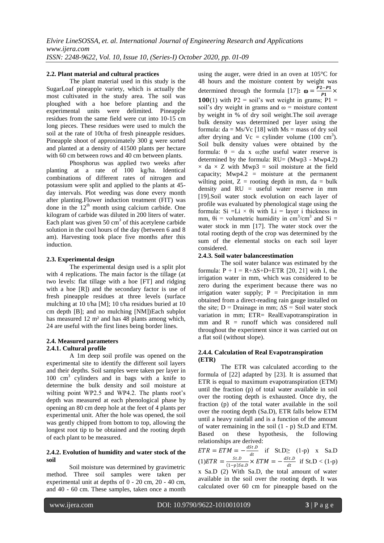### **2.2. Plant material and cultural practices**

The plant material used in this study is the SugarLoaf pineapple variety, which is actually the most cultivated in the study area. The soil was ploughed with a hoe before planting and the experimental units were delimited. Pineapple residues from the same field were cut into 10-15 cm long pieces. These residues were used to mulch the soil at the rate of 10t/ha of fresh pineapple residues. Pineapple shoot of approximately 300 g were sorted and planted at a density of 41500 plants per hectare with 60 cm between rows and 40 cm between plants.

Phosphorus was applied two weeks after planting at a rate of 100 kg/ha. Identical combinations of different rates of nitrogen and potassium were split and applied to the plants at 45 day intervals. Plot weeding was done every month after planting.Flower induction treatment (FIT) was done in the  $12<sup>th</sup>$  month using calcium carbide. One kilogram of carbide was diluted in 200 liters of water. Each plant was given  $50 \text{ cm}^3$  of this acetylene carbide solution in the cool hours of the day (between 6 and 8 am). Harvesting took place five months after this induction.

### **2.3. Experimental design**

The experimental design used is a split plot with 4 replications. The main factor is the tillage (at two levels: flat tillage with a hoe [FT] and ridging with a hoe [R]) and the secondary factor is use of fresh pineapple residues at three levels (surface mulching at 10 t/ha [M]; 10 t/ha residues buried at 10 cm depth [B]; and no mulching [NM])Each subplot has measured 12 m<sup>2</sup> and has 48 plants among which, 24 are useful with the first lines being border lines.

### **2.4. Measured parameters 2.4.1. Cultural profile**

A 1m deep soil profile was opened on the experimental site to identify the different soil layers and their depths. Soil samples were taken per layer in 100 cm<sup>3</sup> cylinders and in bags with a knife to determine the bulk density and soil moisture at wilting point WP2.5 and WP4.2. The plants root's depth was measured at each phenological phase by opening an 80 cm deep hole at the feet of 4 plants per experimental unit. After the hole was opened, the soil was gently chipped from bottom to top, allowing the longest root tip to be obtained and the rooting depth of each plant to be measured.

#### **2.4.2. Evolution of humidity and water stock of the soil**

Soil moisture was determined by gravimetric method. Three soil samples were taken per experimental unit at depths of 0 - 20 cm, 20 - 40 cm, and 40 - 60 cm. These samples, taken once a month

using the auger, were dried in an oven at 105°C for 48 hours and the moisture content by weight was determined through the formula [17]:  $\omega = \frac{P2 - P1}{P1}$  $\frac{c-r_1}{p_1}$   $\times$ **100**(1) with P2 = soil's wet weight in grams; P1 = soil's dry weight in grams and  $\omega$  = moisture content by weight in % of dry soil weight.The soil average bulk density was determined per layer using the formula:  $da = Ms/Vc$  [18] with  $Ms = mass$  of dry soil after drying and  $Vc =$  cylinder volume (100 cm<sup>3</sup>). Soil bulk density values were obtained by the formula:  $\theta = da \times \omega$ ; the useful water reserve is determined by the formula:  $RU = (Mwp3 - Mwp4.2)$  $\times$  da  $\times$  Z with Mwp3 = soil moisture at the field capacity;  $Mwp4.2 = moisture$  at the permanent wilting point,  $Z =$  rooting depth in mm, da = bulk density and RU = useful water reserve in mm [19].Soil water stock evolution on each layer of profile was evaluated by phenological stage using the formula: Si =Li  $\times$  θi with Li = layer i thickness in mm,  $\theta$ i = volumetric humidity in cm<sup>3</sup>/cm<sup>3</sup> and Si = water stock in mm [17]. The water stock over the total rooting depth of the crop was determined by the sum of the elemental stocks on each soil layer considered.

### **2.4.3. Soil water balanceestimation**

The soil water balance was estimated by the formula:  $P + I = R + \Delta S + D + ETR$  [20, 21] with I, the irrigation water in mm, which was considered to be zero during the experiment because there was no irrigation water supply;  $P = Precipitation$  in mm obtained from a direct-reading rain gauge installed on the site; D = Drainage in mm;  $\Delta S$  = Soil water stock variation in mm; ETR= RealEvapotranspiration in mm and  $R =$  runoff which was considered null throughout the experiment since it was carried out on a flat soil (without slope).

### **2.4.4. Calculation of Real Evapotranspiration (ETR)**

The ETR was calculated according to the formula of [22] adapted by [23]. It is assumed that ETR is equal to maximum evapotranspiration (ETM) until the fraction (p) of total water available in soil over the rooting depth is exhausted. Once dry, the fraction (p) of the total water available in the soil over the rooting depth (Sa.D), ETR falls below ETM until a heavy rainfall and is a function of the amount of water remaining in the soil (1 - p) St.D and ETM. Based on these hypothesis, the following relationships are derived:

 $ETR = ETM = -\frac{dSt.D}{dt}$  $\frac{\partial f.D}{\partial t}$  if St.D $\geq$  (1-p) x Sa.D  $(1) ETR = \frac{St.D}{(1, n)S}$  $\frac{St.D}{(1-p)Sa.D} \times ETM = -\frac{dSt.D}{dt}$  $\frac{\partial f}{\partial t}$  if St.D < (1-p) x Sa.D (2) With Sa.D, the total amount of water available in the soil over the rooting depth. It was calculated over 60 cm for pineapple based on the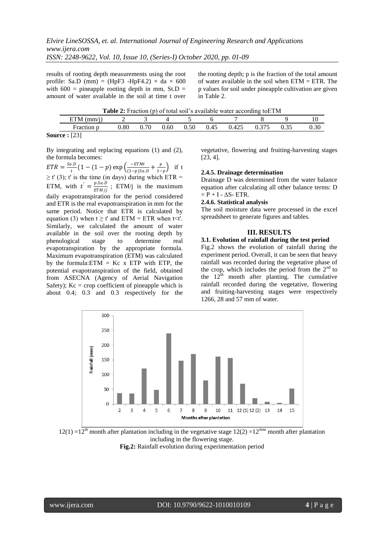results of rooting depth measurements using the root profile: Sa.D (mm) = (HpF3 -HpF4.2)  $\times$  da  $\times$  600 with  $600 =$  pineapple rooting depth in mm, St.D = amount of water available in the soil at time t over

the rooting depth; p is the fraction of the total amount of water available in the soil when ETM = ETR. The p values for soil under pineapple cultivation are given in Table 2.

|                    |  |  |                                                    | <b>Table 2:</b> Fraction (p) of total soil's available water according to ETM |      |      |
|--------------------|--|--|----------------------------------------------------|-------------------------------------------------------------------------------|------|------|
| ETM $(mm/i)$ 2 3 4 |  |  |                                                    |                                                                               |      |      |
| Fraction p         |  |  | $0.80$ $0.70$ $0.60$ $0.50$ $0.45$ $0.425$ $0.375$ |                                                                               | 0.35 | 0.30 |
|                    |  |  |                                                    |                                                                               |      |      |

**Source :** [23]

By integrating and replacing equations (1) and (2), the formula becomes:

 $ETR = \frac{Sa.D}{t}$  $\frac{a.D}{t}(1-(1-p)\exp\left(\frac{-ETMt}{(1-p)Sa}\right)$  $\frac{-ETMt}{(1-p)Sa.D} + \frac{p}{1-p}$  $\frac{p}{1-p}$  if t  $\geq$  t' (3); t' is the time (in days) during which ETR = ETM, with  $t' = \frac{p \cdot Sa \cdot D}{E T M}$  $\frac{p \sin \theta}{ETM/j}$ ; ETM/j is the maximum daily evapotranspiration for the period considered and ETR is the real evapotranspiration in mm for the same period. Notice that ETR is calculated by equation (3) when  $t \ge t'$  and ETM = ETR when  $t \le t'$ . Similarly, we calculated the amount of water available in the soil over the rooting depth by phenological stage to determine real evapotranspiration by the appropriate formula. Maximum evapotranspiration (ETM) was calculated by the formula: $ETM = Kc$  x  $ETP$  with  $ETP$ , the potential evapotranspiration of the field, obtained from ASECNA (Agency of Aerial Navigation Safety);  $Kc = crop$  coefficient of pineapple which is about 0.4; 0.3 and 0.3 respectively for the

vegetative, flowering and fruiting-harvesting stages [23, 4].

#### **2.4.5. Drainage determination**

Drainage D was determined from the water balance equation after calculating all other balance terms: D  $= P + I - \Delta S - ETR$ .

#### **2.4.6. Statistical analysis**

The soil moisture data were processed in the excel spreadsheet to generate figures and tables.

### **III. RESULTS**

#### **3.1. Evolution of rainfall during the test period**

Fig.2 shows the evolution of rainfall during the experiment period. Overall, it can be seen that heavy rainfall was recorded during the vegetative phase of the crop, which includes the period from the  $2<sup>nd</sup>$  to the  $12<sup>th</sup>$  month after planting. The cumulative rainfall recorded during the vegetative, flowering and fruiting-harvesting stages were respectively 1266, 28 and 57 mm of water.



 $12(1) = 12<sup>th</sup>$  month after plantation including in the vegetative stage  $12(2) = 12<sup>h</sup>$  month after plantation including in the flowering stage. **Fig.2:** Rainfall evolution during experimentation period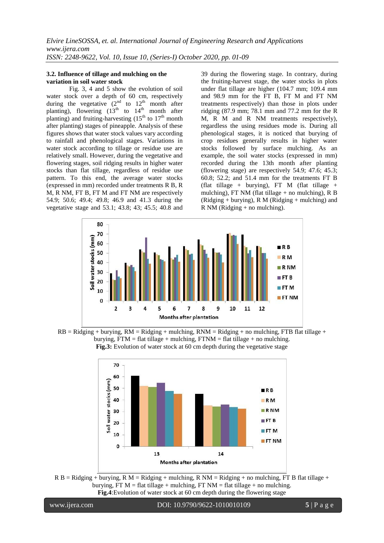#### **3.2. Influence of tillage and mulching on the variation in soil water stock**

Fig. 3, 4 and 5 show the evolution of soil water stock over a depth of 60 cm, respectively during the vegetative  $(2^{nd}$  to  $12^{th}$  month after planting), flowering  $(13<sup>th</sup>$  to  $14<sup>th</sup>$  month after planting) and fruiting-harvesting  $(15<sup>th</sup>$  to  $17<sup>th</sup>$  month after planting) stages of pineapple. Analysis of these figures shows that water stock values vary according to rainfall and phenological stages. Variations in water stock according to tillage or residue use are relatively small. However, during the vegetative and flowering stages, soil ridging results in higher water stocks than flat tillage, regardless of residue use pattern. To this end, the average water stocks (expressed in mm) recorded under treatments R B, R M, R NM, FT B, FT M and FT NM are respectively 54.9; 50.6; 49.4; 49.8; 46.9 and 41.3 during the vegetative stage and 53.1; 43.8; 43; 45.5; 40.8 and 39 during the flowering stage. In contrary, during the fruiting-harvest stage, the water stocks in plots under flat tillage are higher (104.7 mm; 109.4 mm and 98.9 mm for the FT B, FT M and FT NM treatments respectively) than those in plots under ridging (87.9 mm; 78.1 mm and 77.2 mm for the R M, R M and R NM treatments respectively), regardless the using residues mode is. During all phenological stages, it is noticed that burying of crop residues generally results in higher water stocks followed by surface mulching. As an example, the soil water stocks (expressed in mm) recorded during the 13th month after planting (flowering stage) are respectively 54.9; 47.6; 45.3; 60.8; 52.2; and 51.4 mm for the treatments FT B (flat tillage + burying), FT M (flat tillage + mulching), FT NM (flat tillage  $+$  no mulching), R B  $(Ridging + burying)$ , R M  $(Ridging + mulching)$  and R NM (Ridging + no mulching).



 $RB = Ridge + burying$ ,  $RM = Ridge + multing$ ,  $RNM = Ridge + n$  mulching,  $RNM = Ridge + n$ burying,  $FTM = flat$  tillage + mulching,  $FTNM = flat$  tillage + no mulching. **Fig.3:** Evolution of water stock at 60 cm depth during the vegetative stage



 $R B =$  Ridging + burying, R M = Ridging + mulching, R NM = Ridging + no mulching, FT B flat tillage + burying, FT  $M = \text{flat tillage} + \text{multipting}$ , FT  $NM = \text{flat tillage} + \text{no mulching}$ . **Fig.4**:Evolution of water stock at 60 cm depth during the flowering stage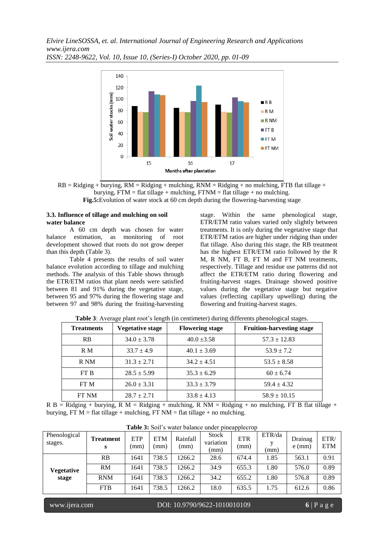*Elvire LineSOSSA, et. al. International Journal of Engineering Research and Applications www.ijera.com ISSN: 2248-9622, Vol. 10, Issue 10, (Series-I) October 2020, pp. 01-09*



 $RB = Ridge + burying$ ,  $RM = Ridge + multing$ ,  $RNM = Ridge + nQ$  mulching,  $RNM = Ridging + no$  mulching,  $FTB$  flat tillage + burying,  $FTM = flat$  tillage + mulching,  $FTNM = flat$  tillage + no mulching. **Fig.5:**Evolution of water stock at 60 cm depth during the flowering-harvesting stage

## **3.3. Influence of tillage and mulching on soil water balance**

A 60 cm depth was chosen for water balance estimation, as monitoring of root development showed that roots do not grow deeper than this depth (Table 3).

Table 4 presents the results of soil water balance evolution according to tillage and mulching methods. The analysis of this Table shows through the ETR/ETM ratios that plant needs were satisfied between 81 and 91% during the vegetative stage, between 95 and 97% during the flowering stage and between 97 and 98% during the fruiting-harvesting stage. Within the same phenological stage, ETR/ETM ratio values varied only slightly between treatments. It is only during the vegetative stage that ETR/ETM ratios are higher under ridging than under flat tillage. Also during this stage, the RB treatment has the highest ETR/ETM ratio followed by the R M, R NM, FT B, FT M and FT NM treatments, respectively. Tillage and residue use patterns did not affect the ETR/ETM ratio during flowering and fruiting-harvest stages. Drainage showed positive values during the vegetative stage but negative values (reflecting capillary upwelling) during the flowering and fruiting-harvest stages.

| <b>Treatments</b> | <b>Vegetative stage</b> | <b>Flowering stage</b> | <b>Fruition-harvesting stage</b> |
|-------------------|-------------------------|------------------------|----------------------------------|
| <b>RB</b>         | $34.0 \pm 3.78$         | $40.0 \pm 3.58$        | $57.3 \pm 12.83$                 |
| R M               | $33.7 \pm 4.9$          | $40.1 \pm 3.69$        | $53.9 \pm 7.2$                   |
| R NM              | $31.3 \pm 2.71$         | $34.2 \pm 4.51$        | $53.5 \pm 8.58$                  |
| FT B              | $28.5 \pm 5.99$         | $35.3 \pm 6.29$        | $60 \pm 6.74$                    |
| FT M              | $26.0 \pm 3.31$         | $33.3 \pm 3.79$        | $59.4 \pm 4.32$                  |
| FT NM             | $28.7 \pm 2.71$         | $33.8 \pm 4.13$        | $58.9 \pm 10.15$                 |

**Table 3**: Average plant root's length (in centimeter) during differents phenological stages.

R B = Ridging + burying, R M = Ridging + mulching, R NM = Ridging + no mulching, FT B flat tillage + burying, FT M = flat tillage + mulching, FT NM = flat tillage + no mulching.

| <b>rable 5.</b> Bolf 5 water balance under phicappiectup |                       |                    |                    |                  |                                   |                    |                |                     |                    |
|----------------------------------------------------------|-----------------------|--------------------|--------------------|------------------|-----------------------------------|--------------------|----------------|---------------------|--------------------|
| Phenological<br>stages.                                  | <b>Treatment</b><br>s | <b>ETP</b><br>(mm) | <b>ETM</b><br>(mm) | Rainfall<br>(mm) | <b>Stock</b><br>variation<br>(mm) | <b>ETR</b><br>(mm) | ETR/da<br>(mm) | Drainag<br>$e$ (mm) | ETR/<br><b>ETM</b> |
|                                                          | RB                    | 1641               | 738.5              | 1266.2           | 28.6                              | 674.4              | 1.85           | 563.1               | 0.91               |
| Vegetative<br>stage                                      | RM                    | 1641               | 738.5              | 1266.2           | 34.9                              | 655.3              | 1.80           | 576.0               | 0.89               |
|                                                          | <b>RNM</b>            | 1641               | 738.5              | 1266.2           | 34.2                              | 655.2              | 1.80           | 576.8               | 0.89               |
|                                                          | <b>FTB</b>            | 1641               | 738.5              | 1266.2           | 18.0                              | 635.5              | 1.75           | 612.6               | 0.86               |

Table 3: Soil's water balance under pineapplecrop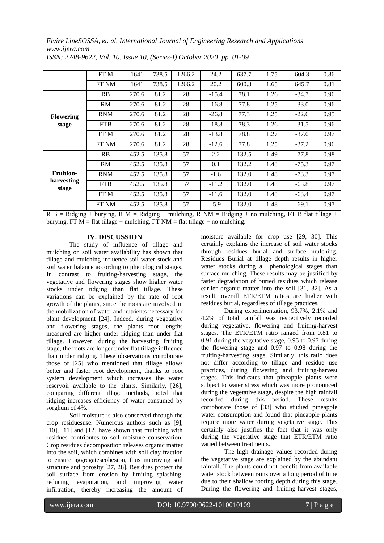*Elvire LineSOSSA, et. al. International Journal of Engineering Research and Applications www.ijera.com*

|                     | FT M       | 1641  | 738.5 | 1266.2 | 24.2    | 637.7 | 1.75 | 604.3   | 0.86 |
|---------------------|------------|-------|-------|--------|---------|-------|------|---------|------|
|                     | FT NM      | 1641  | 738.5 | 1266.2 | 20.2    | 600.3 | 1.65 | 645.7   | 0.81 |
|                     | RB         | 270.6 | 81.2  | 28     | $-15.4$ | 78.1  | 1.26 | $-34.7$ | 0.96 |
|                     | <b>RM</b>  | 270.6 | 81.2  | 28     | $-16.8$ | 77.8  | 1.25 | $-33.0$ | 0.96 |
| <b>Flowering</b>    | <b>RNM</b> | 270.6 | 81.2  | 28     | $-26.8$ | 77.3  | 1.25 | $-22.6$ | 0.95 |
| stage               | <b>FTB</b> | 270.6 | 81.2  | 28     | $-18.8$ | 78.3  | 1.26 | $-31.5$ | 0.96 |
|                     | FT M       | 270.6 | 81.2  | 28     | $-13.8$ | 78.8  | 1.27 | $-37.0$ | 0.97 |
|                     | FT NM      | 270.6 | 81.2  | 28     | $-12.6$ | 77.8  | 1.25 | $-37.2$ | 0.96 |
|                     | RB         | 452.5 | 135.8 | 57     | 2.2     | 132.5 | 1.49 | $-77.8$ | 0.98 |
|                     | RM         | 452.5 | 135.8 | 57     | 0.1     | 132.2 | 1.48 | $-75.3$ | 0.97 |
| <b>Fruition-</b>    | <b>RNM</b> | 452.5 | 135.8 | 57     | $-1.6$  | 132.0 | 1.48 | $-73.3$ | 0.97 |
| harvesting<br>stage | <b>FTB</b> | 452.5 | 135.8 | 57     | $-11.2$ | 132.0 | 1.48 | $-63.8$ | 0.97 |
|                     | FT M       | 452.5 | 135.8 | 57     | $-11.6$ | 132.0 | 1.48 | $-63.4$ | 0.97 |
|                     | FT NM      | 452.5 | 135.8 | 57     | $-5.9$  | 132.0 | 1.48 | $-69.1$ | 0.97 |

*ISSN: 2248-9622, Vol. 10, Issue 10, (Series-I) October 2020, pp. 01-09*

 $R B =$  Ridging + burying, R M = Ridging + mulching, R NM = Ridging + no mulching, FT B flat tillage + burying, FT M = flat tillage + mulching, FT NM = flat tillage + no mulching.

### **IV. DISCUSSION**

The study of influence of tillage and mulching on soil water availability has shown that tillage and mulching influence soil water stock and soil water balance according to phenological stages. In contrast to fruiting-harvesting stage, the vegetative and flowering stages show higher water stocks under ridging than flat tillage. These variations can be explained by the rate of root growth of the plants, since the roots are involved in the mobilization of water and nutrients necessary for plant development [24]. Indeed, during vegetative and flowering stages, the plants root lengths measured are higher under ridging than under flat tillage. However, during the harvesting fruiting stage, the roots are longer under flat tillage influence than under ridging. These observations corroborate those of [25] who mentioned that tillage allows better and faster root development, thanks to root system development which increases the water reservoir available to the plants. Similarly, [26], comparing different tillage methods, noted that ridging increases efficiency of water consumed by sorghum of 4%.

Soil moisture is also conserved through the crop residuesuse. Numerous authors such as [9], [10], [11] and [12] have shown that mulching with residues contributes to soil moisture conservation. Crop residues decomposition releases organic matter into the soil, which combines with soil clay fraction to ensure aggregatescohesion, thus improving soil structure and porosity [27, 28]. Residues protect the soil surface from erosion by limiting splashing, reducing evaporation, and improving water infiltration, thereby increasing the amount of moisture available for crop use [29, 30]. This certainly explains the increase of soil water stocks through residues burial and surface mulching. Residues Burial at tillage depth results in higher water stocks during all phenological stages than surface mulching. These results may be justified by faster degradation of buried residues which release earlier organic matter into the soil [31, 32]. As a result, overall ETR/ETM ratios are higher with residues burial, regardless of tillage practices.

During experimentation, 93.7%, 2.1% and 4.2% of total rainfall was respectively recorded during vegetative, flowering and fruiting-harvest stages. The ETR/ETM ratio ranged from 0.81 to 0.91 during the vegetative stage, 0.95 to 0.97 during the flowering stage and 0.97 to 0.98 during the fruiting-harvesting stage. Similarly, this ratio does not differ according to tillage and residue use practices, during flowering and fruiting-harvest stages. This indicates that pineapple plants were subject to water stress which was more pronounced during the vegetative stage, despite the high rainfall recorded during this period. These results corroborate those of [33] who studied pineapple water consumption and found that pineapple plants require more water during vegetative stage. This certainly also justifies the fact that it was only during the vegetative stage that ETR/ETM ratio varied between treatments.

The high drainage values recorded during the vegetative stage are explained by the abundant rainfall. The plants could not benefit from available water stock between rains over a long period of time due to their shallow rooting depth during this stage. During the flowering and fruiting-harvest stages,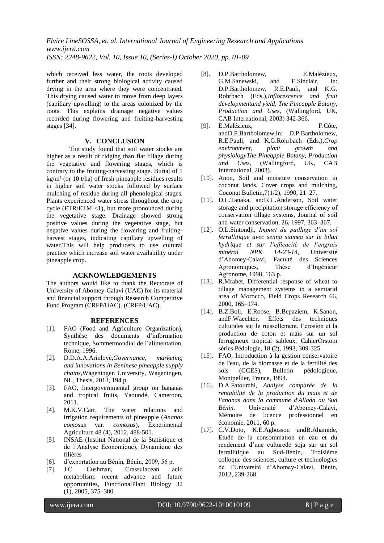*Elvire LineSOSSA, et. al. International Journal of Engineering Research and Applications www.ijera.com ISSN: 2248-9622, Vol. 10, Issue 10, (Series-I) October 2020, pp. 01-09*

which received less water, the roots developed further and their strong biological activity caused drying in the area where they were concentrated. This drying caused water to move from deep layers (capillary upwelling) to the areas colonized by the roots. This explains drainage negative values recorded during flowering and fruiting-harvesting stages [34].

#### **V. CONCLUSION**

The study found that soil water stocks are higher as a result of ridging than flat tillage during the vegetative and flowering stages, which is contrary to the fruiting-harvesting stage. Burial of 1 kg/m² (or 10 t/ha) of fresh pineapple residues results in higher soil water stocks followed by surface mulching of residue during all phenological stages. Plants experienced water stress throughout the crop cycle ( $ETR/ETM < 1$ ), but more pronounced during the vegetative stage. Drainage showed strong positive values during the vegetative stage, but negative values during the flowering and fruitingharvest stages, indicating capillary upwelling of water.This will help producers to use cultural practice which increase soil water availability under pineapple crop.

#### **ACKNOWLEDGEMENTS**

The authors would like to thank the Rectorate of University of Abomey-Calavi (UAC) for its material and financial support through Research Competitive Fund Program (CRFP/UAC). (CRFP/UAC).

#### **REFERENCES**

- [1]. FAO (Food and Agriculture Organization), Synthèse des documents d'information technique, Sommetmondial de l'alimentation, Rome, 1996.
- [2]. D.D.A.A.Arinloyè,*Governance, marketing and innovations in Beninese pineapple supply chains*,Wageningen University, Wageningen, NL, Thesis, 2013, 194 p.
- [3]. FAO, Intergovernmental group on bananas and tropical fruits, Yaoundé, Cameroon, 2011.
- [4]. M.K.V.Carr, The water relations and irrigation requirements of pineapple (*Ananas comosus* var. *comosus*), Experimental Agriculture 48 (4), 2012, 488-501.
- [5]. INSAE (Institut National de la Statistique et de l'Analyse Economique), Dynamique des filières
- [6]. d'exportation au Bénin, Bénin, 2009, 56 p.
- [7]. J.C. Cushman, Crassulacean acid metabolism: recent advance and future opportunities, FunctionalPlant Biology 32 (1), 2005, 375–380.
- [8]. D.P.Bartholomew, E.Malézieux, G.M.Sanewski, and E.Sinclair, in: D.P.Bartholomew, R.E.Pauli, and K.G. Rohrbach (Eds.),*Inflorescence and fruit developmentand yield, The Pineapple Botany, Production and Uses*, (Wallingford, UK, CAB International, 2003) 342-366.
- [9]. E.Malézieux, F.Côte, andD.P.Bartholomew,in: D.P.Bartholomew, R.E.Pauli, and K.G.Rohrbach (Eds.),*Crop environment, plant growth and physiologyThe Pineapple Botany, Production and Uses*, (Wallingford, UK, CAB International, 2003).
- [10]. Anon, Soil and moisture conservation in coconut lands, Cover crops and mulching, Coconut Bulletin,7(1/2), 1990, 21–27.
- [11]. D.L.Tanaka, andR.L.Anderson, Soil water storage and precipitation storage efficiency of conservation tillage systems, Journal of soil and water conservation, 26, 1997, 363–367.
- [12]. O.L.Sintondji, *Impact du paillage d'un sol ferrallitique avec senna siamea sur le bilan hydrique et sur l'efficacité de l'engrais minéral NPK 14-23-14*, Université d'Abomey-Calavi, Faculté des Sciences Agronomiques, Thèse d'Ingénieur Agronome, 1998, 163 p.
- [13]. R.Mrabet, Differential response of wheat to tillage management systems in a semiarid area of Morocco, Field Crops Research 66, 2000, 165–174.
- [14]. B.Z.Boli, E.Roose, B.Bepaziem, K.Sanon, andF.Waechter. Effets des techniques culturales sur le ruissellement, l'érosion et la production de coton et maïs sur un sol ferrugineux tropical sableux, CahierOrstom séries Pédologie, 18 (2), 1993, 309-325.
- [15]. FAO, Introduction à la gestion conservatoire de l'eau, de la biomasse et de la fertilité des sols (GCES), Bulletin pédologique, Montpellier, France, 1994.
- [16]. D.A.Fatoumbi, *Analyse comparée de la rentabilité de la production du maïs et de l'ananas dans la commune d'Allada au Sud Bénin*. Université d'Abomey-Calavi, Mémoire de licence professionnel en économie, 2011, 60 p.
- [17]. C.V.Doto, K.E.Agbossou andB.Ahamide, Etude de la consommation en eau et du rendement d'une culturede soja sur un sol ferrallitique au Sud-Bénin, Troisième colloque des sciences, culture et technologies de l'Université d'Abomey-Calavi, Bénin, 2012, 239-268.